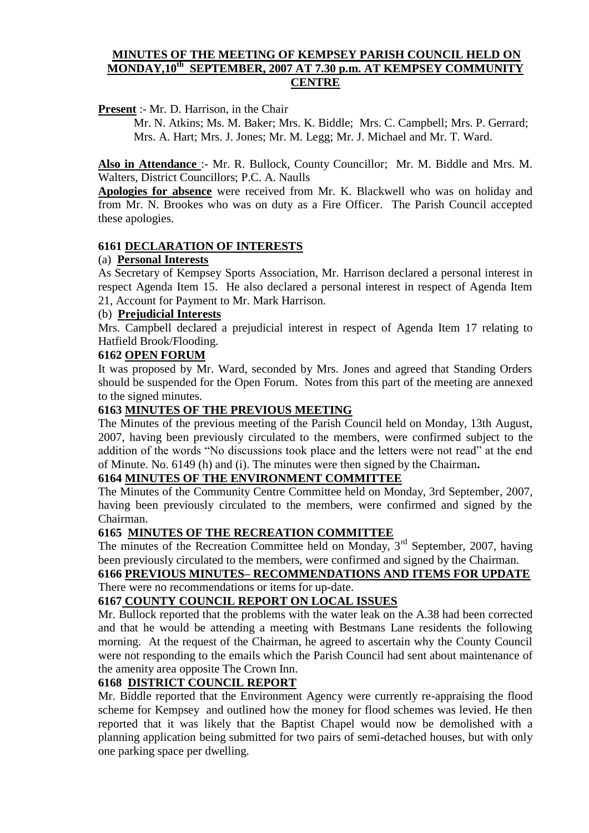## **MINUTES OF THE MEETING OF KEMPSEY PARISH COUNCIL HELD ON MONDAY,10th SEPTEMBER, 2007 AT 7.30 p.m. AT KEMPSEY COMMUNITY CENTRE**

**Present** :- Mr. D. Harrison, in the Chair

Mr. N. Atkins; Ms. M. Baker; Mrs. K. Biddle; Mrs. C. Campbell; Mrs. P. Gerrard; Mrs. A. Hart; Mrs. J. Jones; Mr. M. Legg; Mr. J. Michael and Mr. T. Ward.

**Also in Attendance** :- Mr. R. Bullock, County Councillor; Mr. M. Biddle and Mrs. M. Walters, District Councillors; P.C. A. Naulls

**Apologies for absence** were received from Mr. K. Blackwell who was on holiday and from Mr. N. Brookes who was on duty as a Fire Officer. The Parish Council accepted these apologies.

## **6161 DECLARATION OF INTERESTS**

## (a) **Personal Interests**

As Secretary of Kempsey Sports Association, Mr. Harrison declared a personal interest in respect Agenda Item 15. He also declared a personal interest in respect of Agenda Item 21, Account for Payment to Mr. Mark Harrison.

#### (b) **Prejudicial Interests**

Mrs. Campbell declared a prejudicial interest in respect of Agenda Item 17 relating to Hatfield Brook/Flooding.

## **6162 OPEN FORUM**

It was proposed by Mr. Ward, seconded by Mrs. Jones and agreed that Standing Orders should be suspended for the Open Forum. Notes from this part of the meeting are annexed to the signed minutes.

## **6163 MINUTES OF THE PREVIOUS MEETING**

The Minutes of the previous meeting of the Parish Council held on Monday, 13th August, 2007, having been previously circulated to the members, were confirmed subject to the addition of the words "No discussions took place and the letters were not read" at the end of Minute. No. 6149 (h) and (i). The minutes were then signed by the Chairman**.**

#### **6164 MINUTES OF THE ENVIRONMENT COMMITTEE**

The Minutes of the Community Centre Committee held on Monday, 3rd September, 2007, having been previously circulated to the members, were confirmed and signed by the Chairman.

# **6165 MINUTES OF THE RECREATION COMMITTEE**

The minutes of the Recreation Committee held on Monday,  $3<sup>rd</sup>$  September, 2007, having been previously circulated to the members, were confirmed and signed by the Chairman.

# **6166 PREVIOUS MINUTES– RECOMMENDATIONS AND ITEMS FOR UPDATE** There were no recommendations or items for up-date.

#### **6167 COUNTY COUNCIL REPORT ON LOCAL ISSUES**

Mr. Bullock reported that the problems with the water leak on the A.38 had been corrected and that he would be attending a meeting with Bestmans Lane residents the following morning. At the request of the Chairman, he agreed to ascertain why the County Council were not responding to the emails which the Parish Council had sent about maintenance of the amenity area opposite The Crown Inn.

# **6168 DISTRICT COUNCIL REPORT**

Mr. Biddle reported that the Environment Agency were currently re-appraising the flood scheme for Kempsey and outlined how the money for flood schemes was levied. He then reported that it was likely that the Baptist Chapel would now be demolished with a planning application being submitted for two pairs of semi-detached houses, but with only one parking space per dwelling.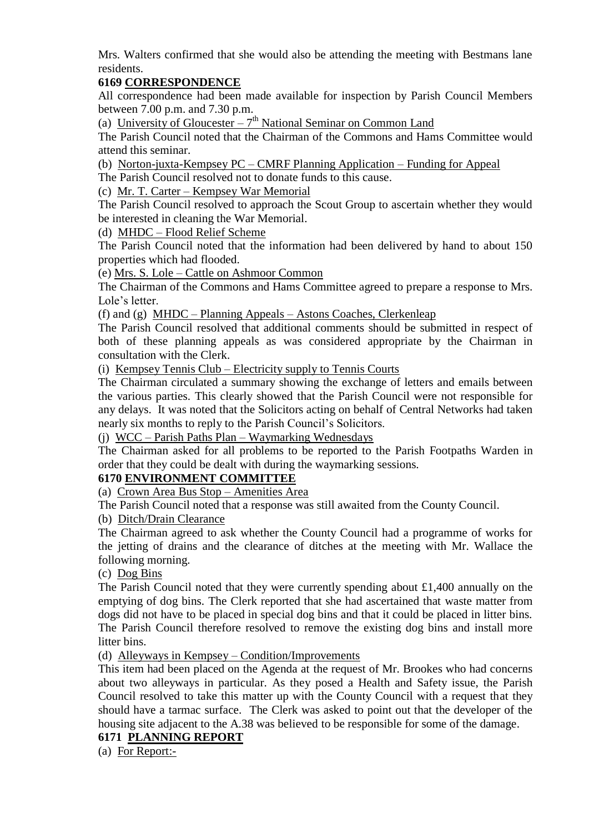Mrs. Walters confirmed that she would also be attending the meeting with Bestmans lane residents.

# **6169 CORRESPONDENCE**

All correspondence had been made available for inspection by Parish Council Members between 7.00 p.m. and 7.30 p.m.

(a) University of Gloucester  $-7<sup>th</sup>$  National Seminar on Common Land

The Parish Council noted that the Chairman of the Commons and Hams Committee would attend this seminar.

(b) Norton-juxta-Kempsey PC – CMRF Planning Application – Funding for Appeal

The Parish Council resolved not to donate funds to this cause.

(c) Mr. T. Carter – Kempsey War Memorial

The Parish Council resolved to approach the Scout Group to ascertain whether they would be interested in cleaning the War Memorial.

(d) MHDC – Flood Relief Scheme

The Parish Council noted that the information had been delivered by hand to about 150 properties which had flooded.

(e) Mrs. S. Lole – Cattle on Ashmoor Common

The Chairman of the Commons and Hams Committee agreed to prepare a response to Mrs. Lole's letter.

(f) and (g) MHDC – Planning Appeals – Astons Coaches, Clerkenleap

The Parish Council resolved that additional comments should be submitted in respect of both of these planning appeals as was considered appropriate by the Chairman in consultation with the Clerk.

(i) Kempsey Tennis Club – Electricity supply to Tennis Courts

The Chairman circulated a summary showing the exchange of letters and emails between the various parties. This clearly showed that the Parish Council were not responsible for any delays. It was noted that the Solicitors acting on behalf of Central Networks had taken nearly six months to reply to the Parish Council's Solicitors.

(j) WCC – Parish Paths Plan – Waymarking Wednesdays

The Chairman asked for all problems to be reported to the Parish Footpaths Warden in order that they could be dealt with during the waymarking sessions.

# **6170 ENVIRONMENT COMMITTEE**

(a) Crown Area Bus Stop – Amenities Area

The Parish Council noted that a response was still awaited from the County Council.

# (b) Ditch/Drain Clearance

The Chairman agreed to ask whether the County Council had a programme of works for the jetting of drains and the clearance of ditches at the meeting with Mr. Wallace the following morning.

(c) Dog Bins

The Parish Council noted that they were currently spending about £1,400 annually on the emptying of dog bins. The Clerk reported that she had ascertained that waste matter from dogs did not have to be placed in special dog bins and that it could be placed in litter bins. The Parish Council therefore resolved to remove the existing dog bins and install more litter bins.

(d) Alleyways in Kempsey – Condition/Improvements

This item had been placed on the Agenda at the request of Mr. Brookes who had concerns about two alleyways in particular. As they posed a Health and Safety issue, the Parish Council resolved to take this matter up with the County Council with a request that they should have a tarmac surface. The Clerk was asked to point out that the developer of the housing site adjacent to the A.38 was believed to be responsible for some of the damage.

# **6171 PLANNING REPORT**

(a) For Report:-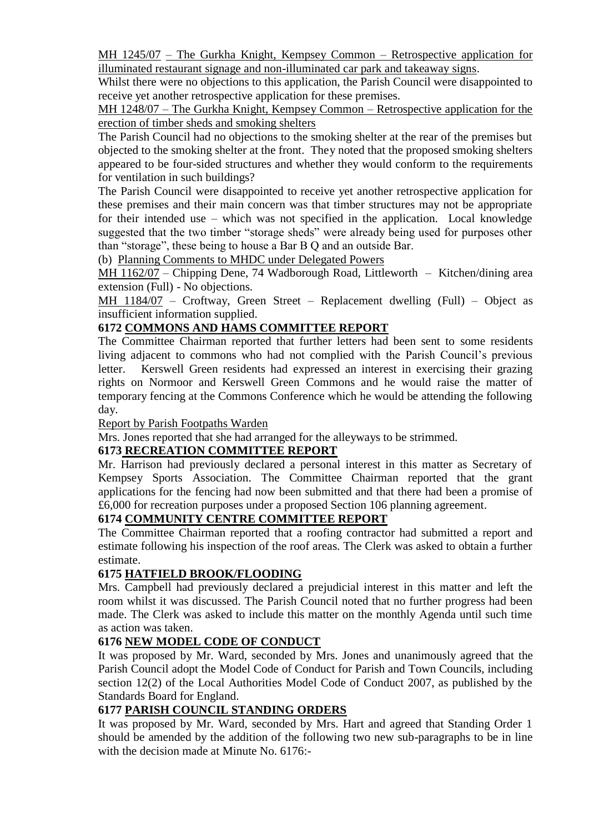MH 1245/07 – The Gurkha Knight, Kempsey Common – Retrospective application for illuminated restaurant signage and non-illuminated car park and takeaway signs.

Whilst there were no objections to this application, the Parish Council were disappointed to receive yet another retrospective application for these premises.

MH 1248/07 – The Gurkha Knight, Kempsey Common – Retrospective application for the erection of timber sheds and smoking shelters

The Parish Council had no objections to the smoking shelter at the rear of the premises but objected to the smoking shelter at the front. They noted that the proposed smoking shelters appeared to be four-sided structures and whether they would conform to the requirements for ventilation in such buildings?

The Parish Council were disappointed to receive yet another retrospective application for these premises and their main concern was that timber structures may not be appropriate for their intended use – which was not specified in the application. Local knowledge suggested that the two timber "storage sheds" were already being used for purposes other than "storage", these being to house a Bar B Q and an outside Bar.

(b) Planning Comments to MHDC under Delegated Powers

MH 1162/07 – Chipping Dene, 74 Wadborough Road, Littleworth – Kitchen/dining area extension (Full) - No objections.

MH 1184/07 – Croftway, Green Street – Replacement dwelling (Full) – Object as insufficient information supplied.

# **6172 COMMONS AND HAMS COMMITTEE REPORT**

The Committee Chairman reported that further letters had been sent to some residents living adjacent to commons who had not complied with the Parish Council's previous letter. Kerswell Green residents had expressed an interest in exercising their grazing rights on Normoor and Kerswell Green Commons and he would raise the matter of temporary fencing at the Commons Conference which he would be attending the following day.

## Report by Parish Footpaths Warden

Mrs. Jones reported that she had arranged for the alleyways to be strimmed.

# **6173 RECREATION COMMITTEE REPORT**

Mr. Harrison had previously declared a personal interest in this matter as Secretary of Kempsey Sports Association. The Committee Chairman reported that the grant applications for the fencing had now been submitted and that there had been a promise of £6,000 for recreation purposes under a proposed Section 106 planning agreement.

## **6174 COMMUNITY CENTRE COMMITTEE REPORT**

The Committee Chairman reported that a roofing contractor had submitted a report and estimate following his inspection of the roof areas. The Clerk was asked to obtain a further estimate.

# **6175 HATFIELD BROOK/FLOODING**

Mrs. Campbell had previously declared a prejudicial interest in this matter and left the room whilst it was discussed. The Parish Council noted that no further progress had been made. The Clerk was asked to include this matter on the monthly Agenda until such time as action was taken.

#### **6176 NEW MODEL CODE OF CONDUCT**

It was proposed by Mr. Ward, seconded by Mrs. Jones and unanimously agreed that the Parish Council adopt the Model Code of Conduct for Parish and Town Councils, including section 12(2) of the Local Authorities Model Code of Conduct 2007, as published by the Standards Board for England.

#### **6177 PARISH COUNCIL STANDING ORDERS**

It was proposed by Mr. Ward, seconded by Mrs. Hart and agreed that Standing Order 1 should be amended by the addition of the following two new sub-paragraphs to be in line with the decision made at Minute No. 6176:-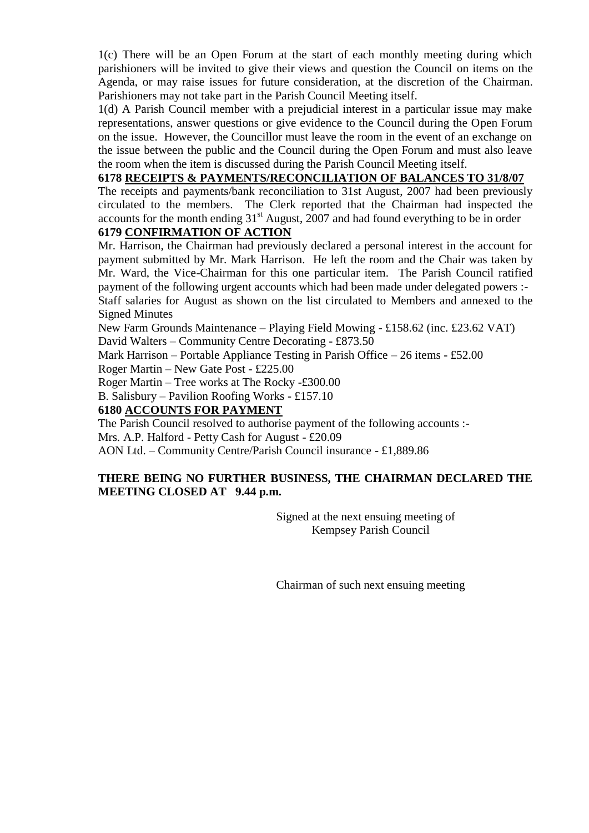1(c) There will be an Open Forum at the start of each monthly meeting during which parishioners will be invited to give their views and question the Council on items on the Agenda, or may raise issues for future consideration, at the discretion of the Chairman. Parishioners may not take part in the Parish Council Meeting itself.

1(d) A Parish Council member with a prejudicial interest in a particular issue may make representations, answer questions or give evidence to the Council during the Open Forum on the issue. However, the Councillor must leave the room in the event of an exchange on the issue between the public and the Council during the Open Forum and must also leave the room when the item is discussed during the Parish Council Meeting itself.

## **6178 RECEIPTS & PAYMENTS/RECONCILIATION OF BALANCES TO 31/8/07**

The receipts and payments/bank reconciliation to 31st August, 2007 had been previously circulated to the members. The Clerk reported that the Chairman had inspected the accounts for the month ending  $31<sup>st</sup>$  August, 2007 and had found everything to be in order

# **6179 CONFIRMATION OF ACTION**

Mr. Harrison, the Chairman had previously declared a personal interest in the account for payment submitted by Mr. Mark Harrison. He left the room and the Chair was taken by Mr. Ward, the Vice-Chairman for this one particular item. The Parish Council ratified payment of the following urgent accounts which had been made under delegated powers :- Staff salaries for August as shown on the list circulated to Members and annexed to the Signed Minutes

New Farm Grounds Maintenance – Playing Field Mowing - £158.62 (inc. £23.62 VAT) David Walters – Community Centre Decorating - £873.50

Mark Harrison – Portable Appliance Testing in Parish Office – 26 items - £52.00

Roger Martin – New Gate Post - £225.00

Roger Martin – Tree works at The Rocky -£300.00

B. Salisbury – Pavilion Roofing Works - £157.10

# **6180 ACCOUNTS FOR PAYMENT**

The Parish Council resolved to authorise payment of the following accounts :-

Mrs. A.P. Halford - Petty Cash for August - £20.09

AON Ltd. – Community Centre/Parish Council insurance - £1,889.86

# **THERE BEING NO FURTHER BUSINESS, THE CHAIRMAN DECLARED THE MEETING CLOSED AT 9.44 p.m.**

Signed at the next ensuing meeting of Kempsey Parish Council

Chairman of such next ensuing meeting